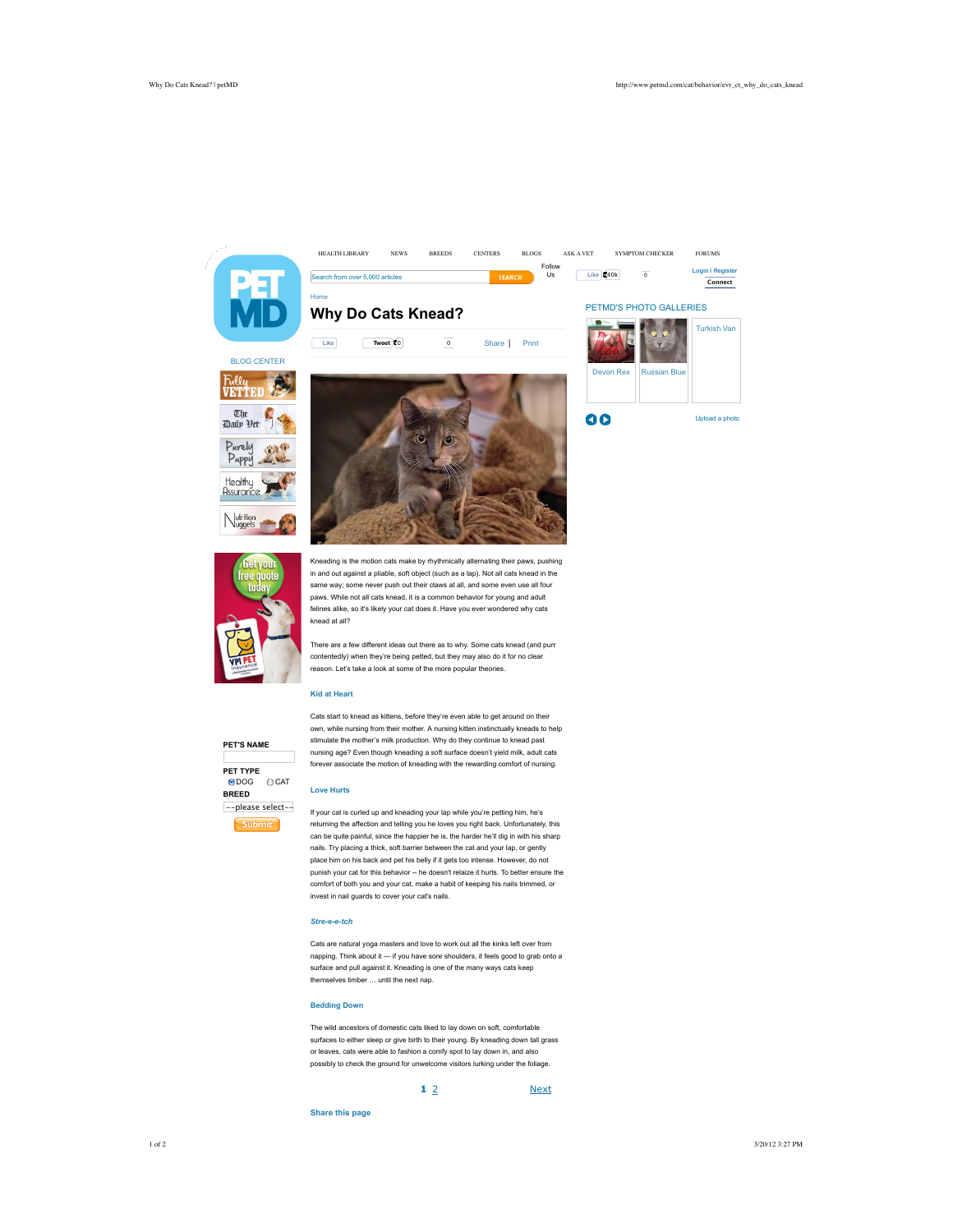

Home

**Why Do Cats Knead?**





Follov<br>Us

HEALTH LIBRARY NEWS BREEDS CENTERS BLOGS ASK A VET SYMPTOM CHECKER FORUMS

 $\bigvee\limits_{\text{uggets}}$ 

Kneading is the motion cats make by rhythmically alternating their paws, pushing in and out against a pliable, soft object (such as a lap). Not all cats knead in the same way; some never push out their claws at all, and some even use all four paws. While not all cats knead, it is a common behavior for young and adult felines alike, so it's likely your cat does it. Have you ever wondered why cats knead at all?

There are a few different ideas out there as to why. Some cats knead (and purr contentedly) when they're being petted, but they may also do it for no clear reason. Let's take a look at some of the more popular theories.

# **Kid at Heart**

**PET'S NAME**

own, while nursing from their mother. A nursing kitten instinctually kneads to help stimulate the mother's milk production. Why do they continue to knead past nursing age? Even though kneading a soft surface doesn't yield milk, adult cats forever associate the motion of kneading with the rewarding comfort of nursing.

Cats start to knead as kittens, before they're even able to get around on their

### **Love Hurts**

If your cat is curled up and kneading your lap while you're petting him, he's returning the affection and telling you he loves you right back. Unfortunately, this can be quite painful, since the happier he is, the harder he'll dig in with his sharp nails. Try placing a thick, soft barrier between the cat and your lap, or gently place him on his back and pet his belly if it gets too intense. However, do not punish your cat for this behavior -- he doesn't relaize it hurts. To better ensure the comfort of both you and your cat, make a habit of keeping his nails trimmed, or invest in nail guards to cover your cat's nails.

# *Stre-e-e-tch*

Cats are natural yoga masters and love to work out all the kinks left over from napping. Think about it  $-$  if you have sore shoulders, it feels good to grab onto a surface and pull against it. Kneading is one of the many ways cats keep themselves limber … until the next nap.

### **Bedding Down**

The wild ancestors of domestic cats liked to lay down on soft, comfortable surfaces to either sleep or give birth to their young. By kneading down tall grass or leaves, cats were able to fashion a comfy spot to lay down in, and also possibly to check the ground for unwelcome visitors lurking under the foliage.

### **1** 2

**Next** 

**Share this page**

**PET TYPE** ● DOG O CAT **BREED** --please select-- **Submit**